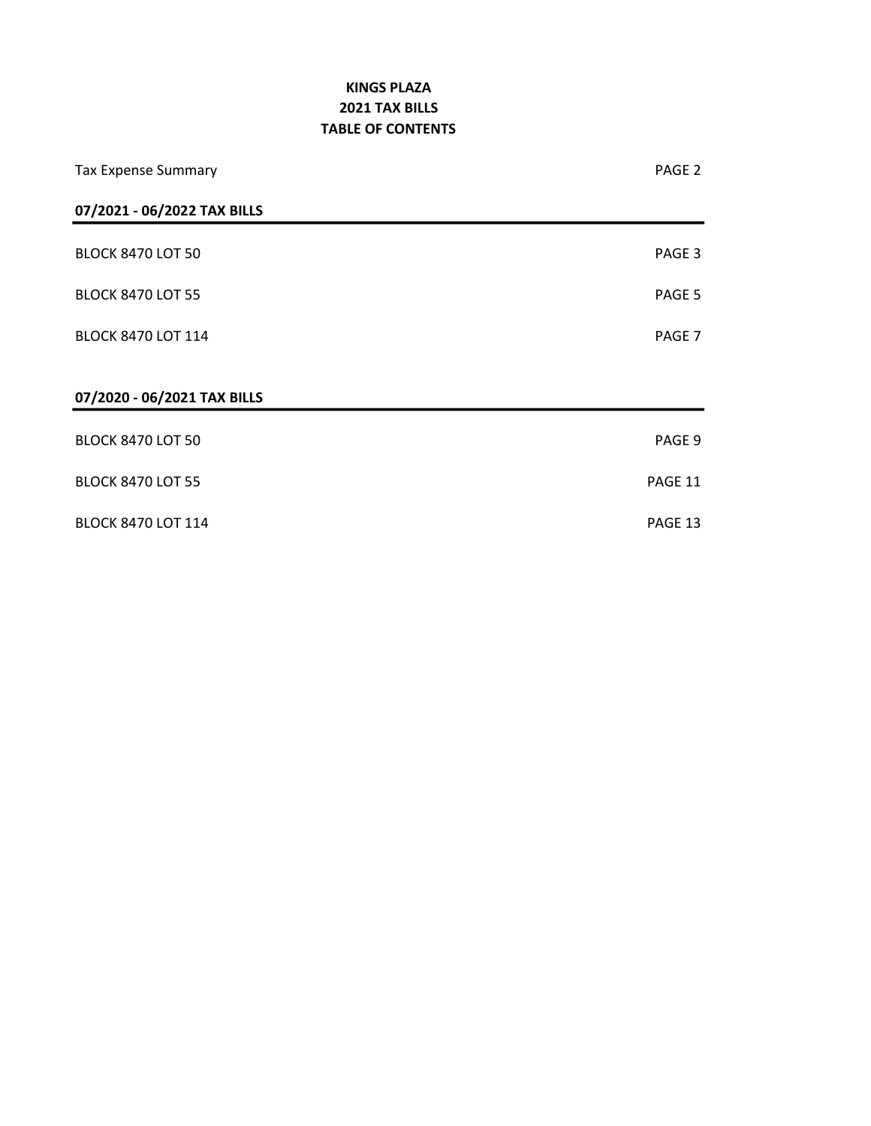### KINGS PLAZA TABLE OF CONTENTS 2021 TAX BILLS

| <b>Tax Expense Summary</b>  | PAGE <sub>2</sub> |
|-----------------------------|-------------------|
| 07/2021 - 06/2022 TAX BILLS |                   |
| <b>BLOCK 8470 LOT 50</b>    | PAGE 3            |
| <b>BLOCK 8470 LOT 55</b>    | PAGE 5            |
| <b>BLOCK 8470 LOT 114</b>   | PAGE 7            |
| 07/2020 - 06/2021 TAX BILLS |                   |
| <b>BLOCK 8470 LOT 50</b>    | PAGE 9            |
| <b>BLOCK 8470 LOT 55</b>    | PAGE 11           |
| <b>BLOCK 8470 LOT 114</b>   | PAGE 13           |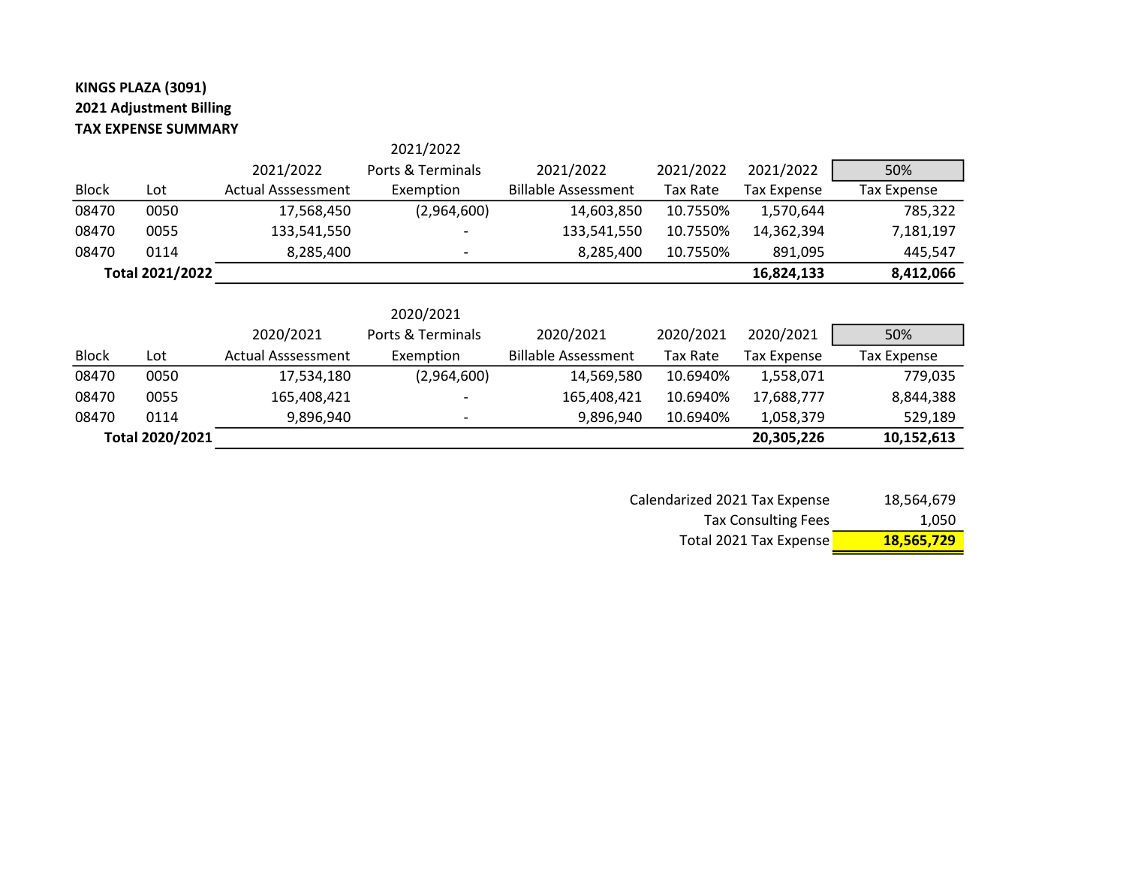## KINGS PLAZA (3091) 2021 Adjustment Billing TAX EXPENSE SUMMARY

|              |                 |                           | 2021/2022         |                            |                 |                    |                    |
|--------------|-----------------|---------------------------|-------------------|----------------------------|-----------------|--------------------|--------------------|
|              |                 | 2021/2022                 | Ports & Terminals | 2021/2022                  | 2021/2022       | 2021/2022          | 50%                |
| <b>Block</b> | Lot             | <b>Actual Asssessment</b> | Exemption         | <b>Billable Assessment</b> | Tax Rate        | <b>Tax Expense</b> | <b>Tax Expense</b> |
| 08470        | 0050            | 17,568,450                | (2,964,600)       | 14,603,850                 | 10.7550%        | 1,570,644          | 785,322            |
| 08470        | 0055            | 133,541,550               |                   | 133,541,550                | 10.7550%        | 14,362,394         | 7,181,197          |
| 08470        | 0114            | 8,285,400                 |                   | 8,285,400                  | 10.7550%        | 891,095            | 445,547            |
|              | Total 2021/2022 |                           |                   |                            |                 | 16,824,133         | 8,412,066          |
|              |                 |                           |                   |                            |                 |                    |                    |
|              |                 |                           | 2020/2021         |                            |                 |                    |                    |
|              |                 | 2020/2021                 | Ports & Terminals | 2020/2021                  | 2020/2021       | 2020/2021          | 50%                |
| <b>Block</b> | Lot             | <b>Actual Asssessment</b> | Exemption         | <b>Billable Assessment</b> | <b>Tax Rate</b> | <b>Tax Expense</b> | <b>Tax Expense</b> |
| 08470        | 0050            | 17,534,180                | (2,964,600)       | 14,569,580                 | 10.6940%        | 1,558,071          | 779,035            |
| 08470        | 0055            | 165,408,421               |                   | 165,408,421                | 10.6940%        | 17,688,777         | 8,844,388          |
| 08470        | 0114            | 9,896,940                 |                   | 9,896,940                  | 10.6940%        | 1,058,379          | 529,189            |
|              | Total 2020/2021 |                           |                   |                            |                 | 20,305,226         | 10,152,613         |

| <b>Tax Consulting Fees</b> | 1,050      |
|----------------------------|------------|
| Total 2021 Tax Expense     | 18,565,729 |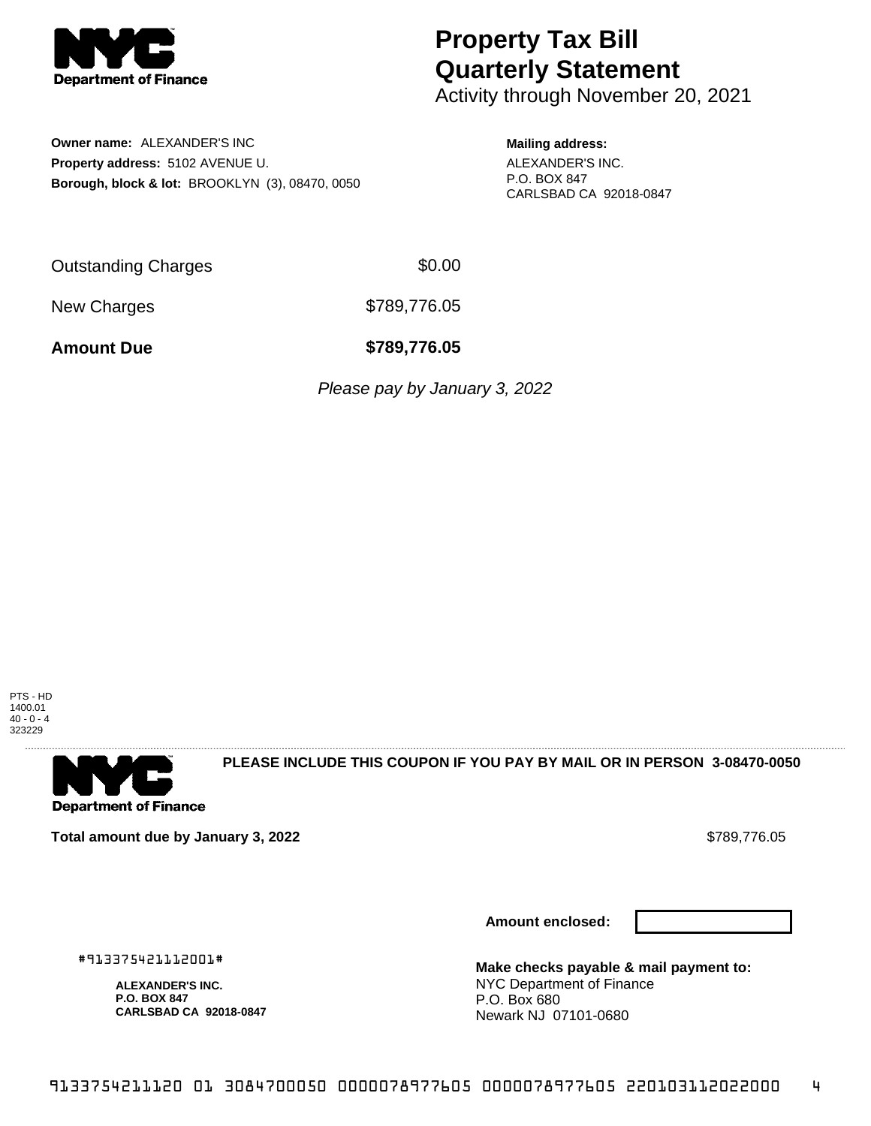

Activity through November 20, 2021

**Owner name:** ALEXANDER'S INC **Property address:** 5102 AVENUE U. **Borough, block & lot:** BROOKLYN (3), 08470, 0050

#### **Mailing address:**

ALEXANDER'S INC. P.O. BOX 847 CARLSBAD CA 92018-0847

Outstanding Charges \$0.00

New Charges \$789,776.05

**Amount Due \$789,776.05**

*Please pay by January 3, 2022* 





**PLEASE INCLUDE THIS COUPON IF YOU PAY BY MAIL OR IN PERSON 3-08470-0050** 

**Total amount due by January 3, 2022** \$789,776.05

**Amount enclosed:**



#913375421112001#

**ALEXANDER'S INC. P.O. BOX 847 CARLSBAD CA 92018-0847**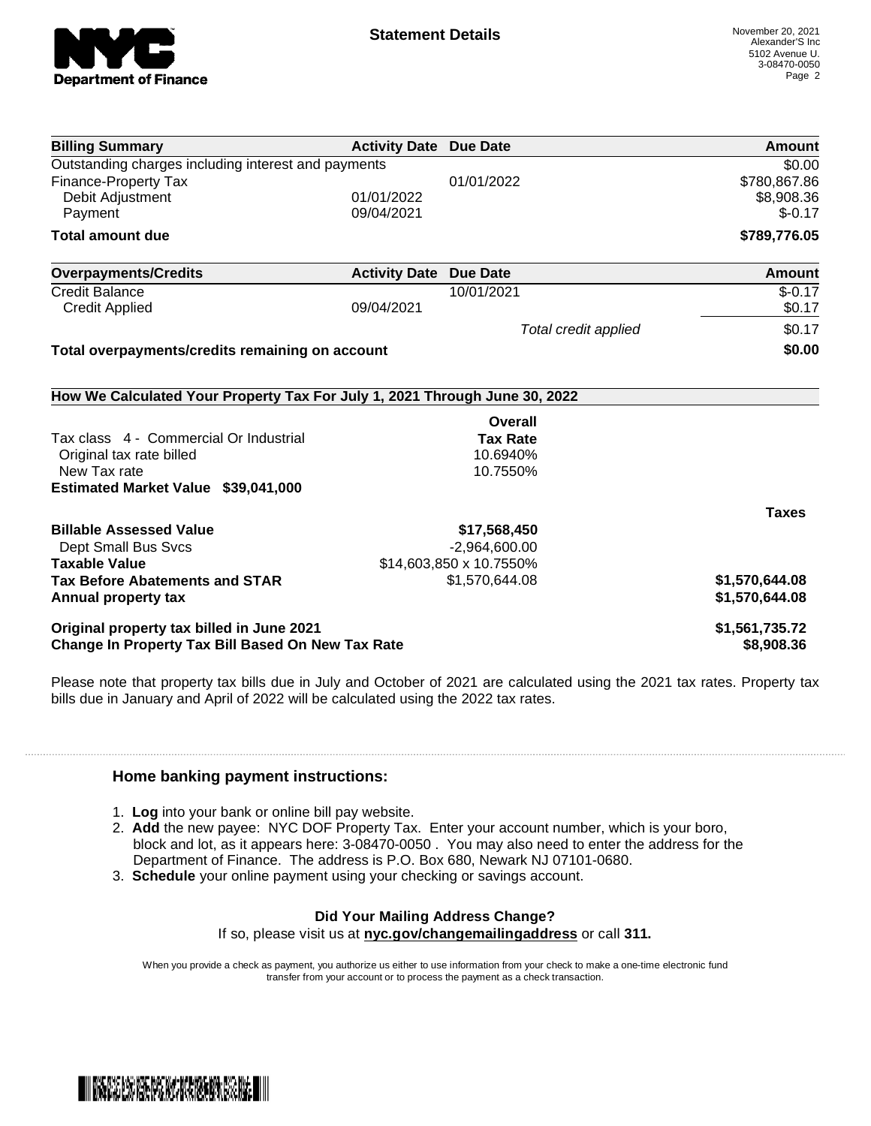

| <b>Billing Summary</b>                                                     | <b>Activity Date Due Date</b> |                         | Amount         |
|----------------------------------------------------------------------------|-------------------------------|-------------------------|----------------|
| Outstanding charges including interest and payments                        |                               |                         | \$0.00         |
| <b>Finance-Property Tax</b>                                                |                               | 01/01/2022              | \$780,867.86   |
| Debit Adjustment                                                           | 01/01/2022                    |                         | \$8,908.36     |
| Payment                                                                    | 09/04/2021                    |                         | $$-0.17$       |
| <b>Total amount due</b>                                                    |                               |                         | \$789,776.05   |
| <b>Overpayments/Credits</b>                                                | <b>Activity Date</b>          | <b>Due Date</b>         | Amount         |
| <b>Credit Balance</b>                                                      |                               | 10/01/2021              | $$-0.17$       |
| <b>Credit Applied</b>                                                      | 09/04/2021                    |                         | \$0.17         |
|                                                                            |                               | Total credit applied    | \$0.17         |
| Total overpayments/credits remaining on account                            |                               |                         | \$0.00         |
| How We Calculated Your Property Tax For July 1, 2021 Through June 30, 2022 |                               |                         |                |
|                                                                            |                               | Overall                 |                |
| Tax class 4 - Commercial Or Industrial                                     |                               | <b>Tax Rate</b>         |                |
| Original tax rate billed                                                   |                               | 10.6940%                |                |
| New Tax rate                                                               |                               | 10.7550%                |                |
| Estimated Market Value \$39,041,000                                        |                               |                         |                |
|                                                                            |                               |                         | <b>Taxes</b>   |
| <b>Billable Assessed Value</b>                                             |                               | \$17,568,450            |                |
| <b>Dept Small Bus Svcs</b>                                                 |                               | $-2,964,600.00$         |                |
| <b>Taxable Value</b>                                                       |                               | \$14,603,850 x 10.7550% |                |
| <b>Tax Before Abatements and STAR</b>                                      |                               | \$1,570,644.08          | \$1,570,644.08 |
| Annual property tax                                                        |                               |                         | \$1,570,644.08 |
| Original property tax billed in June 2021                                  |                               |                         | \$1,561,735.72 |
| Change In Property Tax Bill Based On New Tax Rate                          |                               |                         | \$8,908.36     |

Please note that property tax bills due in July and October of 2021 are calculated using the 2021 tax rates. Property tax bills due in January and April of 2022 will be calculated using the 2022 tax rates.

### **Home banking payment instructions:**

- 1. **Log** into your bank or online bill pay website.
- 2. **Add** the new payee: NYC DOF Property Tax. Enter your account number, which is your boro, block and lot, as it appears here: 3-08470-0050 . You may also need to enter the address for the Department of Finance. The address is P.O. Box 680, Newark NJ 07101-0680.
- 3. **Schedule** your online payment using your checking or savings account.

### **Did Your Mailing Address Change?**

If so, please visit us at **nyc.gov/changemailingaddress** or call **311.**

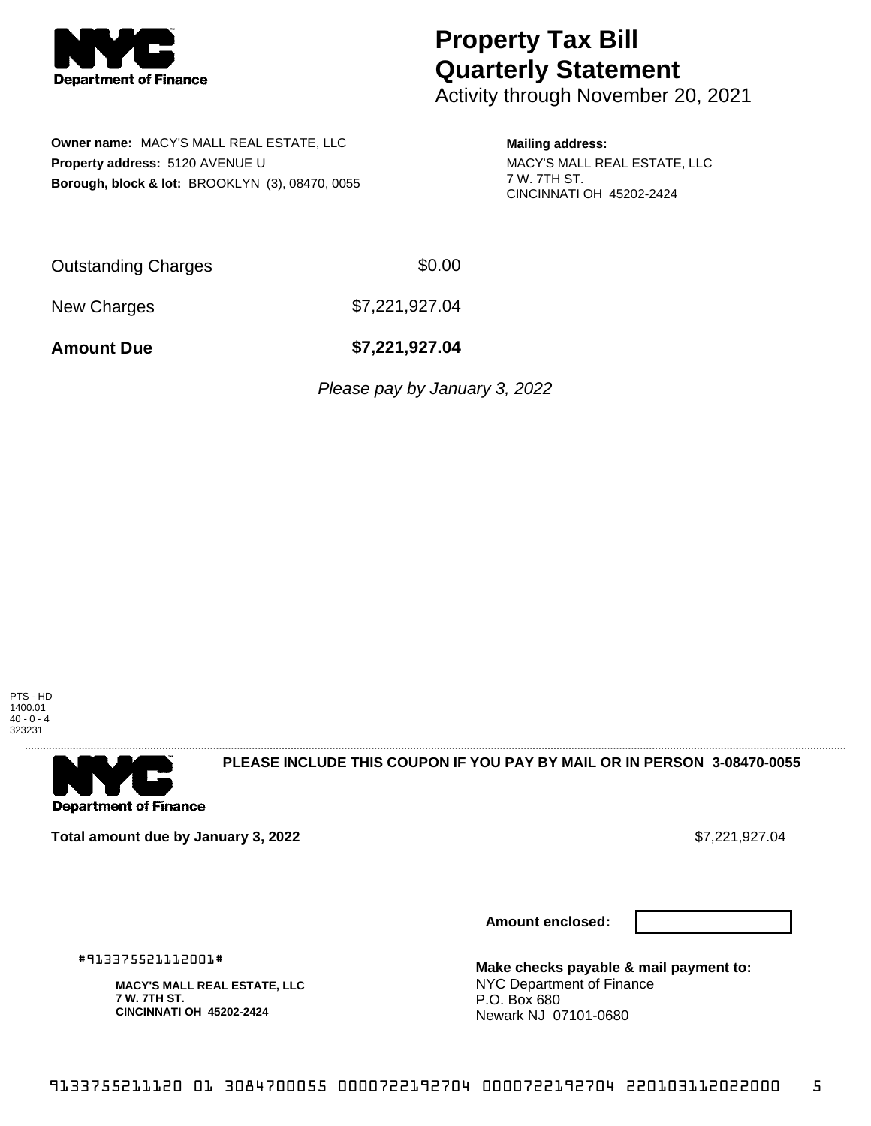

Activity through November 20, 2021

**Owner name:** MACY'S MALL REAL ESTATE, LLC **Property address:** 5120 AVENUE U **Borough, block & lot:** BROOKLYN (3), 08470, 0055

**Mailing address:** MACY'S MALL REAL ESTATE, LLC 7 W. 7TH ST. CINCINNATI OH 45202-2424

Outstanding Charges \$0.00

New Charges \$7,221,927.04

**Amount Due \$7,221,927.04**

*Please pay by January 3, 2022* 

PTS - HD 1400.01  $40 - 0 - 4$ 323231



**PLEASE INCLUDE THIS COUPON IF YOU PAY BY MAIL OR IN PERSON 3-08470-0055** 

**Total amount due by January 3, 2022 \$7,221,927.04** \$7,221,927.04

**Amount enclosed:**



#913375521112001#

**MACY'S MALL REAL ESTATE, LLC 7 W. 7TH ST. CINCINNATI OH 45202-2424**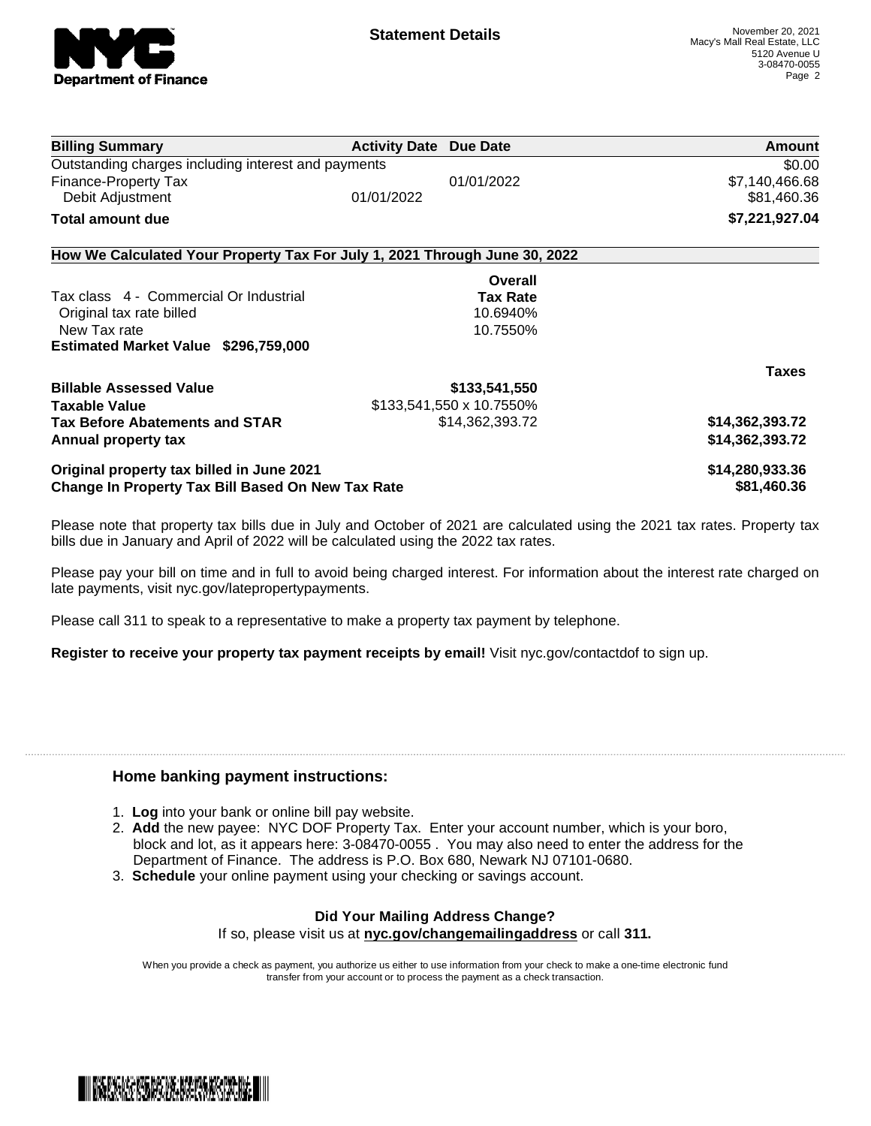

| <b>Billing Summary</b>                                                     | <b>Activity Date Due Date</b> | Amount          |
|----------------------------------------------------------------------------|-------------------------------|-----------------|
| Outstanding charges including interest and payments                        |                               | \$0.00          |
| Finance-Property Tax                                                       | 01/01/2022                    | \$7,140,466.68  |
| Debit Adjustment                                                           | 01/01/2022                    | \$81,460.36     |
| Total amount due                                                           |                               | \$7,221,927.04  |
| How We Calculated Your Property Tax For July 1, 2021 Through June 30, 2022 |                               |                 |
|                                                                            | Overall                       |                 |
| Tax class 4 - Commercial Or Industrial                                     | <b>Tax Rate</b>               |                 |
| Original tax rate billed                                                   | 10.6940%                      |                 |
| New Tax rate                                                               | 10.7550%                      |                 |
| Estimated Market Value \$296,759,000                                       |                               |                 |
|                                                                            |                               | <b>Taxes</b>    |
| <b>Billable Assessed Value</b>                                             | \$133,541,550                 |                 |
| <b>Taxable Value</b>                                                       | \$133,541,550 x 10.7550%      |                 |
| <b>Tax Before Abatements and STAR</b>                                      | \$14,362,393.72               | \$14,362,393.72 |
| Annual property tax                                                        |                               | \$14,362,393.72 |
| Original property tax billed in June 2021                                  |                               | \$14,280,933.36 |
| Change In Property Tax Bill Based On New Tax Rate                          |                               | \$81,460.36     |

Please note that property tax bills due in July and October of 2021 are calculated using the 2021 tax rates. Property tax bills due in January and April of 2022 will be calculated using the 2022 tax rates.

Please pay your bill on time and in full to avoid being charged interest. For information about the interest rate charged on late payments, visit nyc.gov/latepropertypayments.

Please call 311 to speak to a representative to make a property tax payment by telephone.

**Register to receive your property tax payment receipts by email!** Visit nyc.gov/contactdof to sign up.

### **Home banking payment instructions:**

- 1. **Log** into your bank or online bill pay website.
- 2. **Add** the new payee: NYC DOF Property Tax. Enter your account number, which is your boro, block and lot, as it appears here: 3-08470-0055 . You may also need to enter the address for the Department of Finance. The address is P.O. Box 680, Newark NJ 07101-0680.
- 3. **Schedule** your online payment using your checking or savings account.

## **Did Your Mailing Address Change?**

If so, please visit us at **nyc.gov/changemailingaddress** or call **311.**

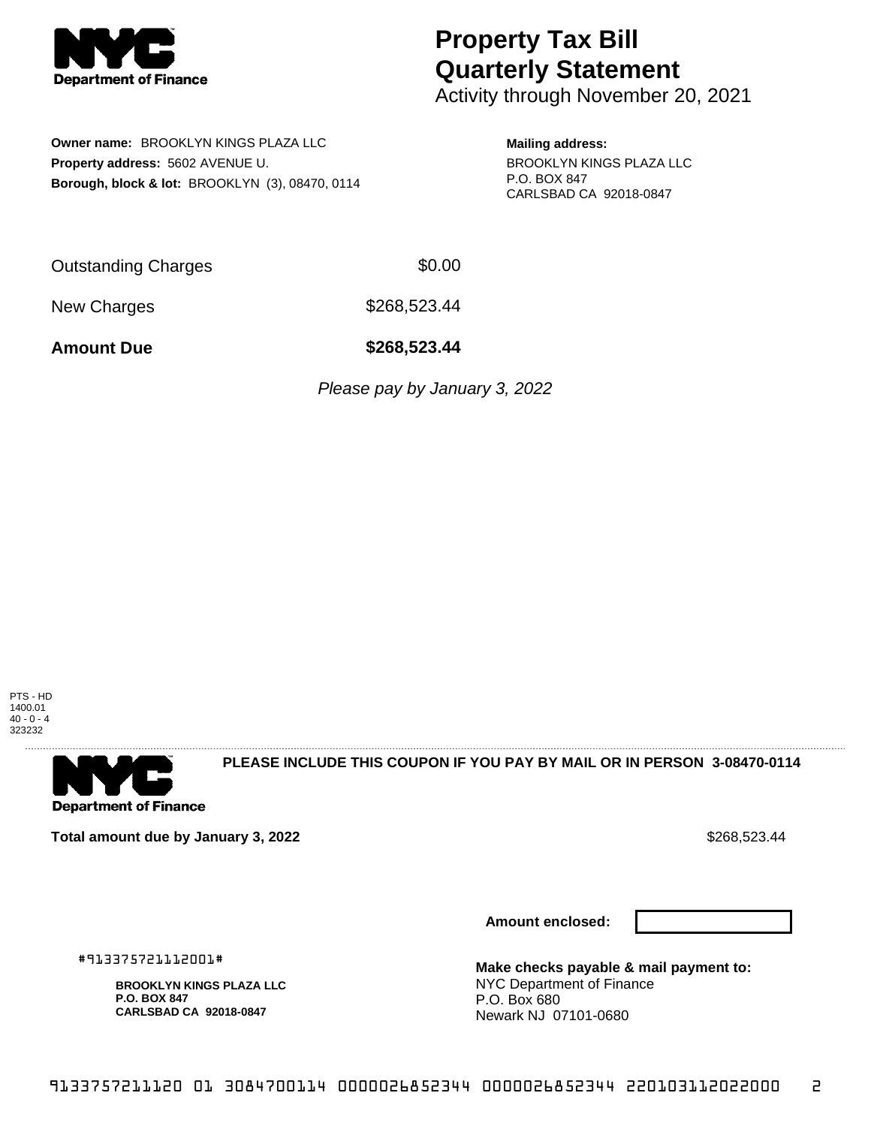

Activity through November 20, 2021

**Owner name:** BROOKLYN KINGS PLAZA LLC **Property address:** 5602 AVENUE U. **Borough, block & lot:** BROOKLYN (3), 08470, 0114 **Mailing address:** BROOKLYN KINGS PLAZA LLC P.O. BOX 847 CARLSBAD CA 92018-0847

Outstanding Charges \$0.00

New Charges \$268,523.44

**Amount Due \$268,523.44**

*Please pay by January 3, 2022* 



**Department of Finance** 

**PLEASE INCLUDE THIS COUPON IF YOU PAY BY MAIL OR IN PERSON 3-08470-0114** 

**Total amount due by January 3, 2022 \$268,523.44** \$268,523.44

**Amount enclosed:**



#913375721112001#

**BROOKLYN KINGS PLAZA LLC P.O. BOX 847 CARLSBAD CA 92018-0847**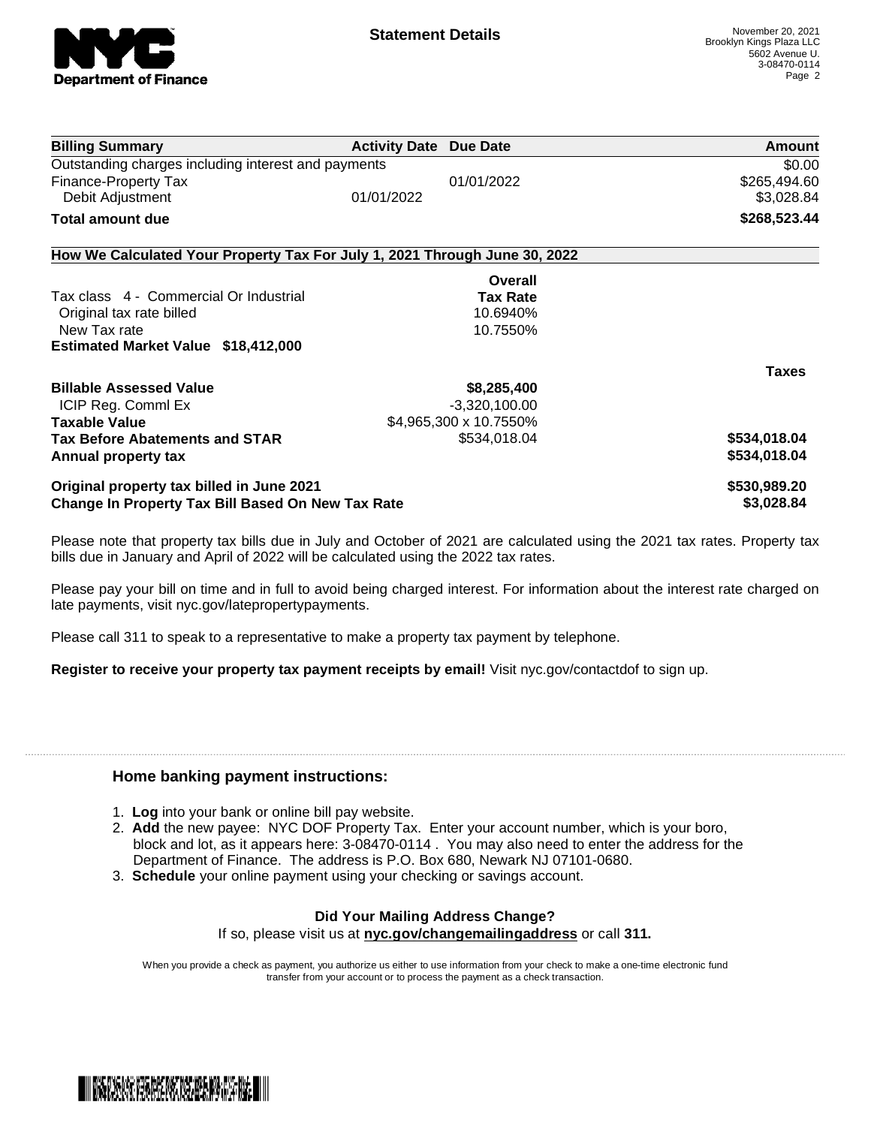

| <b>Billing Summary</b>                                                     | <b>Activity Date Due Date</b> |                        | Amount       |
|----------------------------------------------------------------------------|-------------------------------|------------------------|--------------|
| Outstanding charges including interest and payments                        | \$0.00                        |                        |              |
| Finance-Property Tax                                                       |                               | 01/01/2022             | \$265,494.60 |
| Debit Adjustment                                                           | 01/01/2022                    |                        | \$3,028.84   |
| Total amount due                                                           |                               |                        | \$268,523.44 |
| How We Calculated Your Property Tax For July 1, 2021 Through June 30, 2022 |                               |                        |              |
|                                                                            |                               | Overall                |              |
| Tax class 4 - Commercial Or Industrial                                     |                               | <b>Tax Rate</b>        |              |
| Original tax rate billed                                                   |                               | 10.6940%               |              |
| New Tax rate                                                               |                               | 10.7550%               |              |
| <b>Estimated Market Value \$18,412,000</b>                                 |                               |                        |              |
|                                                                            |                               |                        | <b>Taxes</b> |
| <b>Billable Assessed Value</b>                                             |                               | \$8,285,400            |              |
| ICIP Reg. Commi Ex                                                         |                               | $-3,320,100.00$        |              |
| <b>Taxable Value</b>                                                       |                               | \$4,965,300 x 10.7550% |              |
| <b>Tax Before Abatements and STAR</b>                                      |                               | \$534,018.04           | \$534,018.04 |
| Annual property tax                                                        |                               |                        | \$534,018.04 |
| Original property tax billed in June 2021                                  |                               |                        | \$530,989.20 |
| <b>Change In Property Tax Bill Based On New Tax Rate</b>                   |                               |                        | \$3,028.84   |

Please note that property tax bills due in July and October of 2021 are calculated using the 2021 tax rates. Property tax bills due in January and April of 2022 will be calculated using the 2022 tax rates.

Please pay your bill on time and in full to avoid being charged interest. For information about the interest rate charged on late payments, visit nyc.gov/latepropertypayments.

Please call 311 to speak to a representative to make a property tax payment by telephone.

**Register to receive your property tax payment receipts by email!** Visit nyc.gov/contactdof to sign up.

#### **Home banking payment instructions:**

- 1. **Log** into your bank or online bill pay website.
- 2. **Add** the new payee: NYC DOF Property Tax. Enter your account number, which is your boro, block and lot, as it appears here: 3-08470-0114 . You may also need to enter the address for the Department of Finance. The address is P.O. Box 680, Newark NJ 07101-0680.
- 3. **Schedule** your online payment using your checking or savings account.

### **Did Your Mailing Address Change?**

If so, please visit us at **nyc.gov/changemailingaddress** or call **311.**

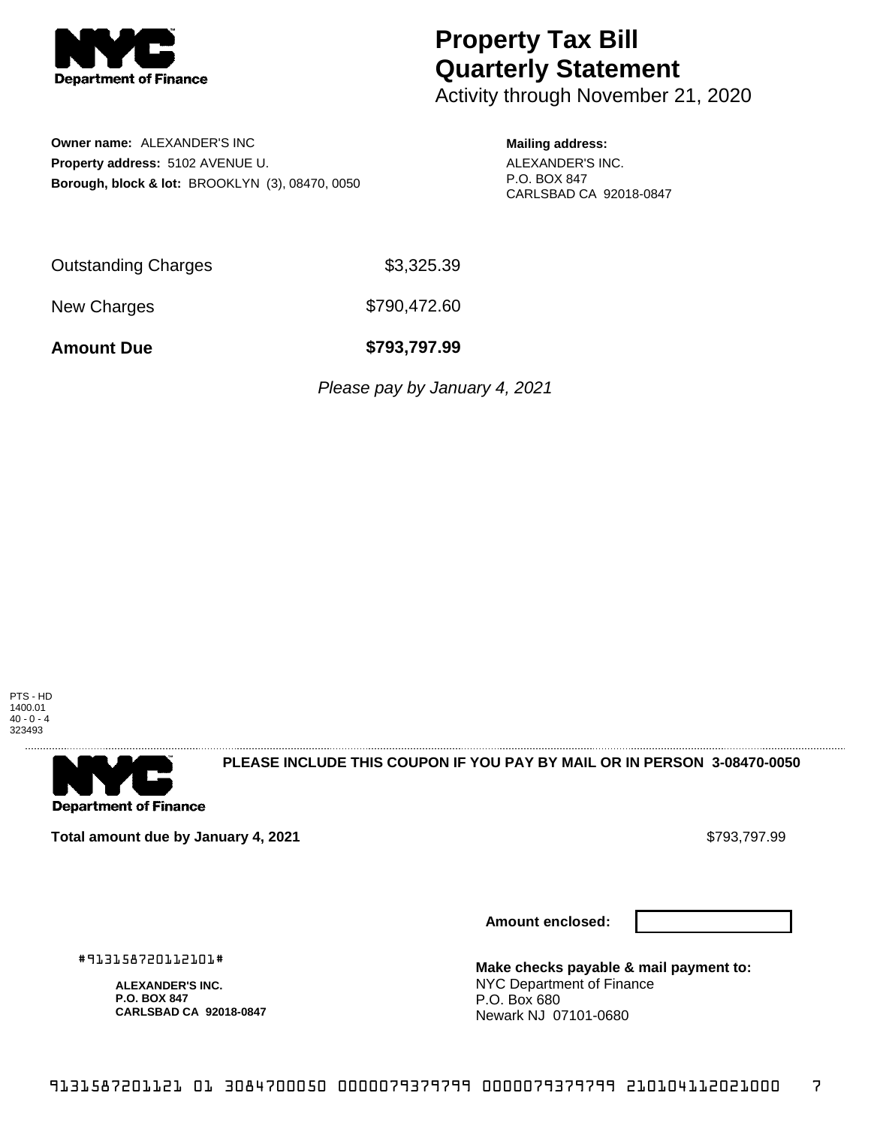

Activity through November 21, 2020

**Owner name:** ALEXANDER'S INC **Property address:** 5102 AVENUE U. **Borough, block & lot:** BROOKLYN (3), 08470, 0050 **Mailing address:**

ALEXANDER'S INC. P.O. BOX 847 CARLSBAD CA 92018-0847

Outstanding Charges \$3,325.39

New Charges \$790,472.60

**Amount Due \$793,797.99**

Please pay by January 4, 2021

PTS - HD 1400.01  $40 - 0 - 4$ 323493



**PLEASE INCLUDE THIS COUPON IF YOU PAY BY MAIL OR IN PERSON 3-08470-0050** 

**Total amount due by January 4, 2021 \$793,797.99** \$793,797.99

**Amount enclosed:**

#913158720112101#

**ALEXANDER'S INC. P.O. BOX 847 CARLSBAD CA 92018-0847**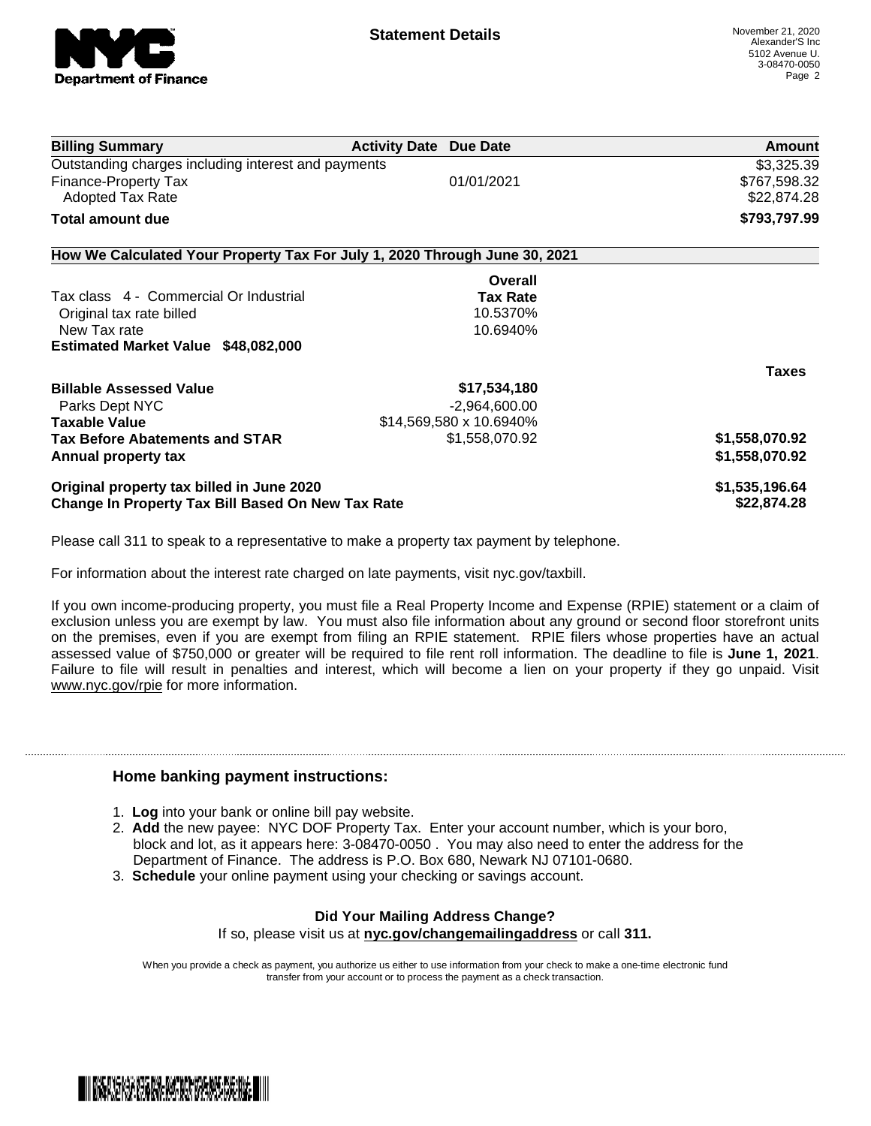

| <b>Billing Summary</b>                                                     | <b>Activity Date Due Date</b>                     |                         | Amount         |
|----------------------------------------------------------------------------|---------------------------------------------------|-------------------------|----------------|
| Outstanding charges including interest and payments                        |                                                   |                         | \$3,325.39     |
| Finance-Property Tax                                                       |                                                   | 01/01/2021              | \$767,598.32   |
| <b>Adopted Tax Rate</b>                                                    |                                                   |                         | \$22,874.28    |
| <b>Total amount due</b>                                                    |                                                   |                         | \$793,797.99   |
| How We Calculated Your Property Tax For July 1, 2020 Through June 30, 2021 |                                                   |                         |                |
|                                                                            |                                                   | Overall                 |                |
| Tax class 4 - Commercial Or Industrial                                     |                                                   | <b>Tax Rate</b>         |                |
| Original tax rate billed                                                   |                                                   | 10.5370%                |                |
| New Tax rate                                                               |                                                   | 10.6940%                |                |
| Estimated Market Value \$48,082,000                                        |                                                   |                         |                |
|                                                                            |                                                   |                         | <b>Taxes</b>   |
| <b>Billable Assessed Value</b>                                             |                                                   | \$17,534,180            |                |
| Parks Dept NYC                                                             |                                                   | $-2,964,600.00$         |                |
| <b>Taxable Value</b>                                                       |                                                   | \$14,569,580 x 10.6940% |                |
| <b>Tax Before Abatements and STAR</b>                                      |                                                   | \$1,558,070.92          | \$1,558,070.92 |
| Annual property tax                                                        |                                                   |                         | \$1,558,070.92 |
| Original property tax billed in June 2020                                  |                                                   |                         | \$1,535,196.64 |
|                                                                            | Change In Property Tax Bill Based On New Tax Rate |                         |                |
|                                                                            |                                                   |                         |                |

Please call 311 to speak to a representative to make a property tax payment by telephone.

For information about the interest rate charged on late payments, visit nyc.gov/taxbill.

If you own income-producing property, you must file a Real Property Income and Expense (RPIE) statement or a claim of exclusion unless you are exempt by law. You must also file information about any ground or second floor storefront units on the premises, even if you are exempt from filing an RPIE statement. RPIE filers whose properties have an actual assessed value of \$750,000 or greater will be required to file rent roll information. The deadline to file is **June 1, 2021**. Failure to file will result in penalties and interest, which will become a lien on your property if they go unpaid. Visit [www.nyc.gov/rpie](https://gcc01.safelinks.protection.outlook.com/?url=http%3A%2F%2Fwww.nyc.gov%2Frpie&data=04%7C01%7CNopperB%40finance.nyc.gov%7Cb5441c0febda4654c59308d871e42e3d%7C32f56fc75f814e22a95b15da66513bef%7C0%7C0%7C637384572119592751%7CUnknown%7CTWFpbGZsb3d8eyJWIjoiMC4wLjAwMDAiLCJQIjoiV2luMzIiLCJBTiI6Ik1haWwiLCJXVCI6Mn0%3D%7C1000&sdata=5r9tfjT5xGtYBarIoWvpryLYlBW%2BnkEP80XChdlWHLU%3D&reserved=0) for more information.

### **Home banking payment instructions:**

- 1. **Log** into your bank or online bill pay website.
- 2. **Add** the new payee: NYC DOF Property Tax. Enter your account number, which is your boro, block and lot, as it appears here: 3-08470-0050 . You may also need to enter the address for the Department of Finance. The address is P.O. Box 680, Newark NJ 07101-0680.
- 3. **Schedule** your online payment using your checking or savings account.

### **Did Your Mailing Address Change?** If so, please visit us at **nyc.gov/changemailingaddress** or call **311.**

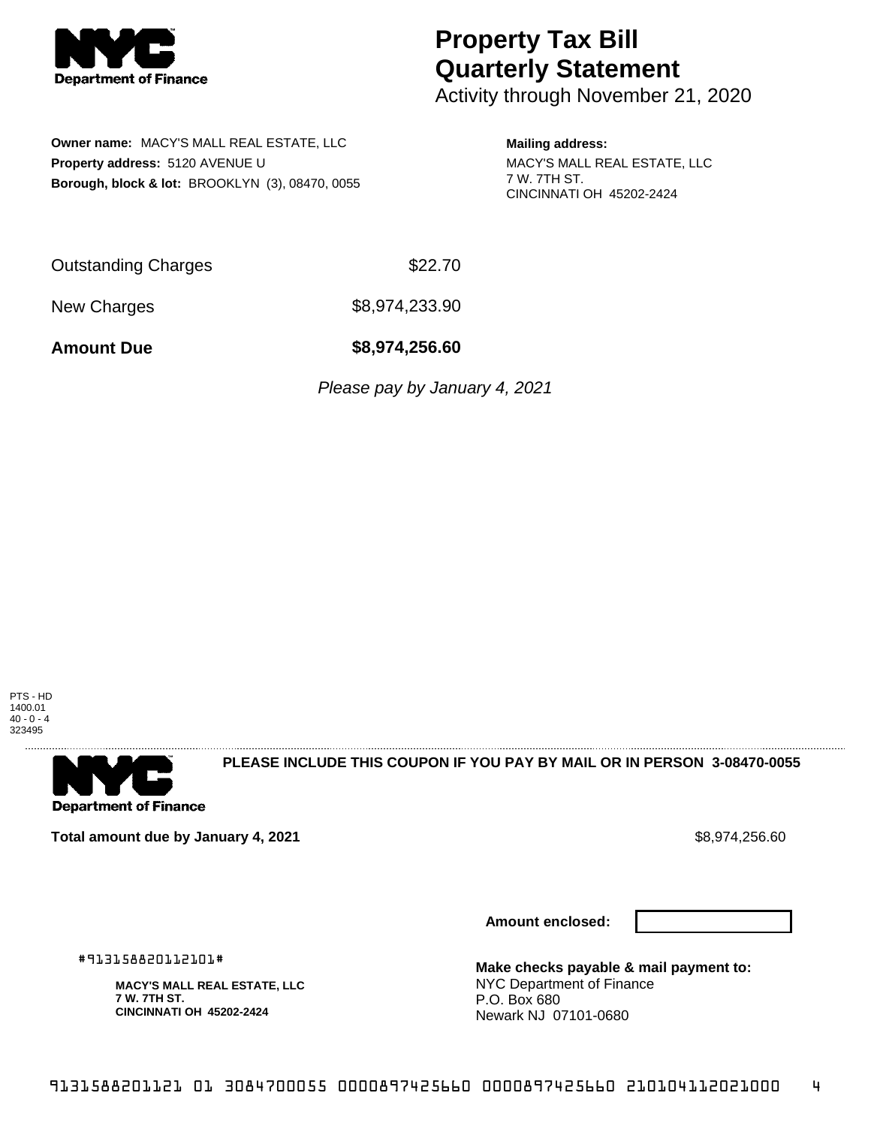

Activity through November 21, 2020

**Owner name:** MACY'S MALL REAL ESTATE, LLC **Property address:** 5120 AVENUE U **Borough, block & lot:** BROOKLYN (3), 08470, 0055

**Mailing address:** MACY'S MALL REAL ESTATE, LLC 7 W. 7TH ST. CINCINNATI OH 45202-2424

Outstanding Charges **\$22.70** 

New Charges \$8,974,233.90

**Amount Due \$8,974,256.60**

Please pay by January 4, 2021

PTS - HD 1400.01  $40 - 0 - 4$ 323495



**PLEASE INCLUDE THIS COUPON IF YOU PAY BY MAIL OR IN PERSON 3-08470-0055** 

**Total amount due by January 4, 2021 \$8,974,256.60** \$8,974,256.60

**Amount enclosed:**



#913158820112101#

**MACY'S MALL REAL ESTATE, LLC 7 W. 7TH ST. CINCINNATI OH 45202-2424**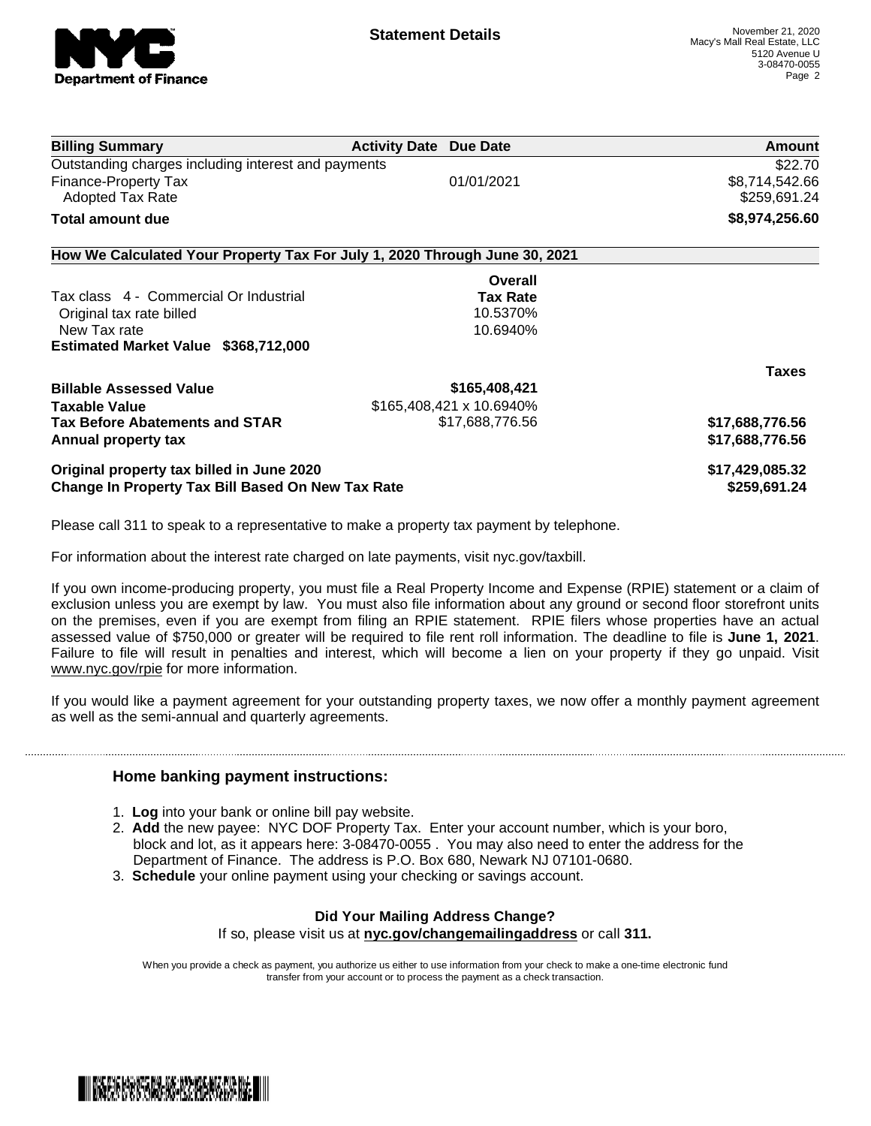

| <b>Billing Summary</b>                                                     | <b>Activity Date Due Date</b> |                          | Amount                         |
|----------------------------------------------------------------------------|-------------------------------|--------------------------|--------------------------------|
| Outstanding charges including interest and payments                        |                               |                          | \$22.70                        |
| Finance-Property Tax<br><b>Adopted Tax Rate</b>                            |                               | 01/01/2021               | \$8,714,542.66<br>\$259,691.24 |
| Total amount due                                                           |                               |                          | \$8,974,256.60                 |
| How We Calculated Your Property Tax For July 1, 2020 Through June 30, 2021 |                               |                          |                                |
|                                                                            |                               | Overall                  |                                |
| Tax class 4 - Commercial Or Industrial                                     |                               | <b>Tax Rate</b>          |                                |
| Original tax rate billed                                                   |                               | 10.5370%                 |                                |
| New Tax rate                                                               |                               | 10.6940%                 |                                |
| Estimated Market Value \$368,712,000                                       |                               |                          |                                |
|                                                                            |                               |                          | <b>Taxes</b>                   |
| <b>Billable Assessed Value</b>                                             |                               | \$165,408,421            |                                |
| Taxable Value                                                              |                               | \$165,408,421 x 10.6940% |                                |
| <b>Tax Before Abatements and STAR</b>                                      |                               | \$17,688,776.56          | \$17,688,776.56                |
| Annual property tax                                                        |                               |                          | \$17,688,776.56                |
| Original property tax billed in June 2020                                  |                               |                          | \$17,429,085.32                |
| <b>Change In Property Tax Bill Based On New Tax Rate</b>                   |                               |                          | \$259,691.24                   |
|                                                                            |                               |                          |                                |

Please call 311 to speak to a representative to make a property tax payment by telephone.

For information about the interest rate charged on late payments, visit nyc.gov/taxbill.

If you own income-producing property, you must file a Real Property Income and Expense (RPIE) statement or a claim of exclusion unless you are exempt by law. You must also file information about any ground or second floor storefront units on the premises, even if you are exempt from filing an RPIE statement. RPIE filers whose properties have an actual assessed value of \$750,000 or greater will be required to file rent roll information. The deadline to file is **June 1, 2021**. Failure to file will result in penalties and interest, which will become a lien on your property if they go unpaid. Visit [www.nyc.gov/rpie](https://gcc01.safelinks.protection.outlook.com/?url=http%3A%2F%2Fwww.nyc.gov%2Frpie&data=04%7C01%7CNopperB%40finance.nyc.gov%7Cb5441c0febda4654c59308d871e42e3d%7C32f56fc75f814e22a95b15da66513bef%7C0%7C0%7C637384572119592751%7CUnknown%7CTWFpbGZsb3d8eyJWIjoiMC4wLjAwMDAiLCJQIjoiV2luMzIiLCJBTiI6Ik1haWwiLCJXVCI6Mn0%3D%7C1000&sdata=5r9tfjT5xGtYBarIoWvpryLYlBW%2BnkEP80XChdlWHLU%3D&reserved=0) for more information.

If you would like a payment agreement for your outstanding property taxes, we now offer a monthly payment agreement as well as the semi-annual and quarterly agreements.

### **Home banking payment instructions:**

- 1. **Log** into your bank or online bill pay website.
- 2. **Add** the new payee: NYC DOF Property Tax. Enter your account number, which is your boro, block and lot, as it appears here: 3-08470-0055 . You may also need to enter the address for the Department of Finance. The address is P.O. Box 680, Newark NJ 07101-0680.
- 3. **Schedule** your online payment using your checking or savings account.

### **Did Your Mailing Address Change?**

If so, please visit us at **nyc.gov/changemailingaddress** or call **311.**

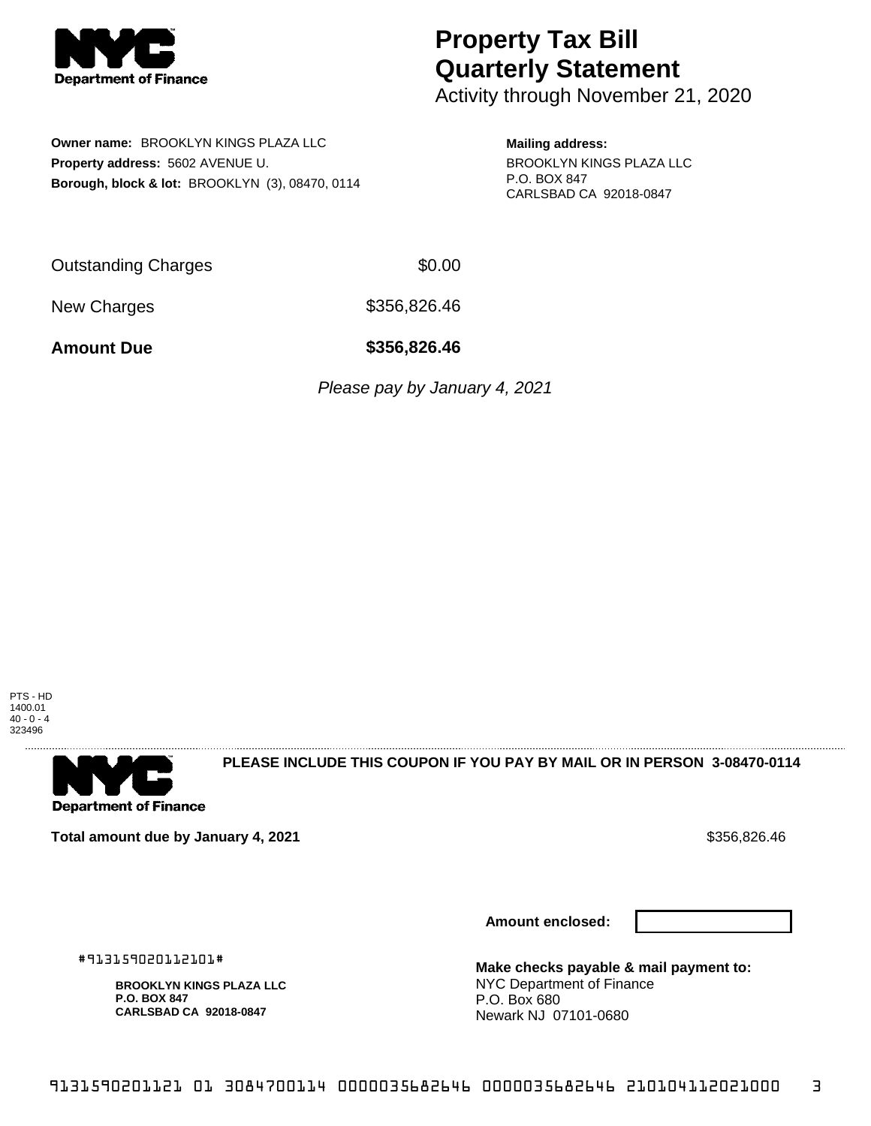

Activity through November 21, 2020

**Owner name:** BROOKLYN KINGS PLAZA LLC **Property address:** 5602 AVENUE U. **Borough, block & lot:** BROOKLYN (3), 08470, 0114 **Mailing address:** BROOKLYN KINGS PLAZA LLC P.O. BOX 847 CARLSBAD CA 92018-0847

Outstanding Charges \$0.00

New Charges 6356,826.46

**Amount Due \$356,826.46**

Please pay by January 4, 2021

PTS - HD 1400.01  $40 - 0 - 4$ 323496



**PLEASE INCLUDE THIS COUPON IF YOU PAY BY MAIL OR IN PERSON 3-08470-0114** 

**Total amount due by January 4, 2021**  $\bullet$  **Support of the Support of the Support of S**356,826.46

**Amount enclosed:**



#913159020112101#

**BROOKLYN KINGS PLAZA LLC P.O. BOX 847 CARLSBAD CA 92018-0847**